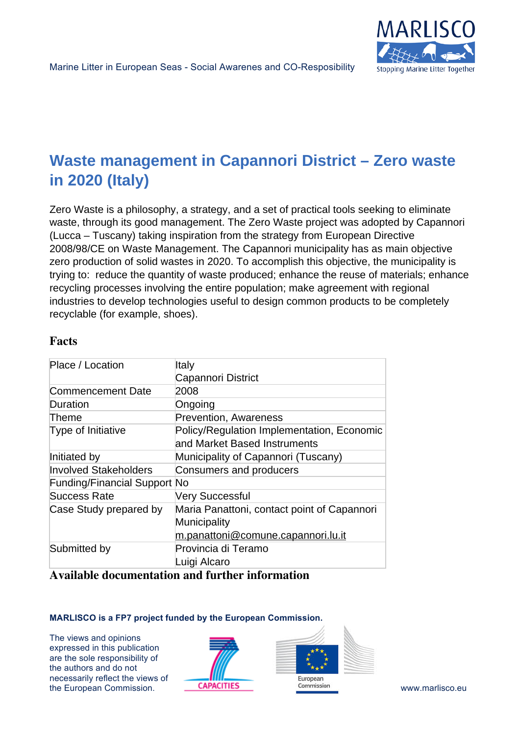

# **Waste management in Capannori District – Zero waste in 2020 (Italy)**

Zero Waste is a philosophy, a strategy, and a set of practical tools seeking to eliminate waste, through its good management. The Zero Waste project was adopted by Capannori (Lucca – Tuscany) taking inspiration from the strategy from European Directive 2008/98/CE on Waste Management. The Capannori municipality has as main objective zero production of solid wastes in 2020. To accomplish this objective, the municipality is trying to: reduce the quantity of waste produced; enhance the reuse of materials; enhance recycling processes involving the entire population; make agreement with regional industries to develop technologies useful to design common products to be completely recyclable (for example, shoes).

## **Facts**

| Place / Location                    | Italy                                       |
|-------------------------------------|---------------------------------------------|
|                                     | Capannori District                          |
| <b>Commencement Date</b>            | 2008                                        |
| Duration                            | Ongoing                                     |
| Theme                               | <b>Prevention, Awareness</b>                |
| Type of Initiative                  | Policy/Regulation Implementation, Economic  |
|                                     | and Market Based Instruments                |
| Initiated by                        | Municipality of Capannori (Tuscany)         |
| <b>Involved Stakeholders</b>        | Consumers and producers                     |
| <b>Funding/Financial Support No</b> |                                             |
| Success Rate                        | Very Successful                             |
| Case Study prepared by              | Maria Panattoni, contact point of Capannori |
|                                     | Municipality                                |
|                                     | <u>m.panattoni@comune.capannori.lu.it</u>   |
| Submitted by                        | Provincia di Teramo                         |
|                                     | Luigi Alcaro                                |
|                                     |                                             |

### **Available documentation and further information**

#### **MARLISCO is a FP7 project funded by the European Commission.**

The views and opinions expressed in this publication are the sole responsibility of the authors and do not necessarily reflect the views of the European Commission. **CAPACITIES COMMISSION COMMISSION WWW.marlisco.eu**